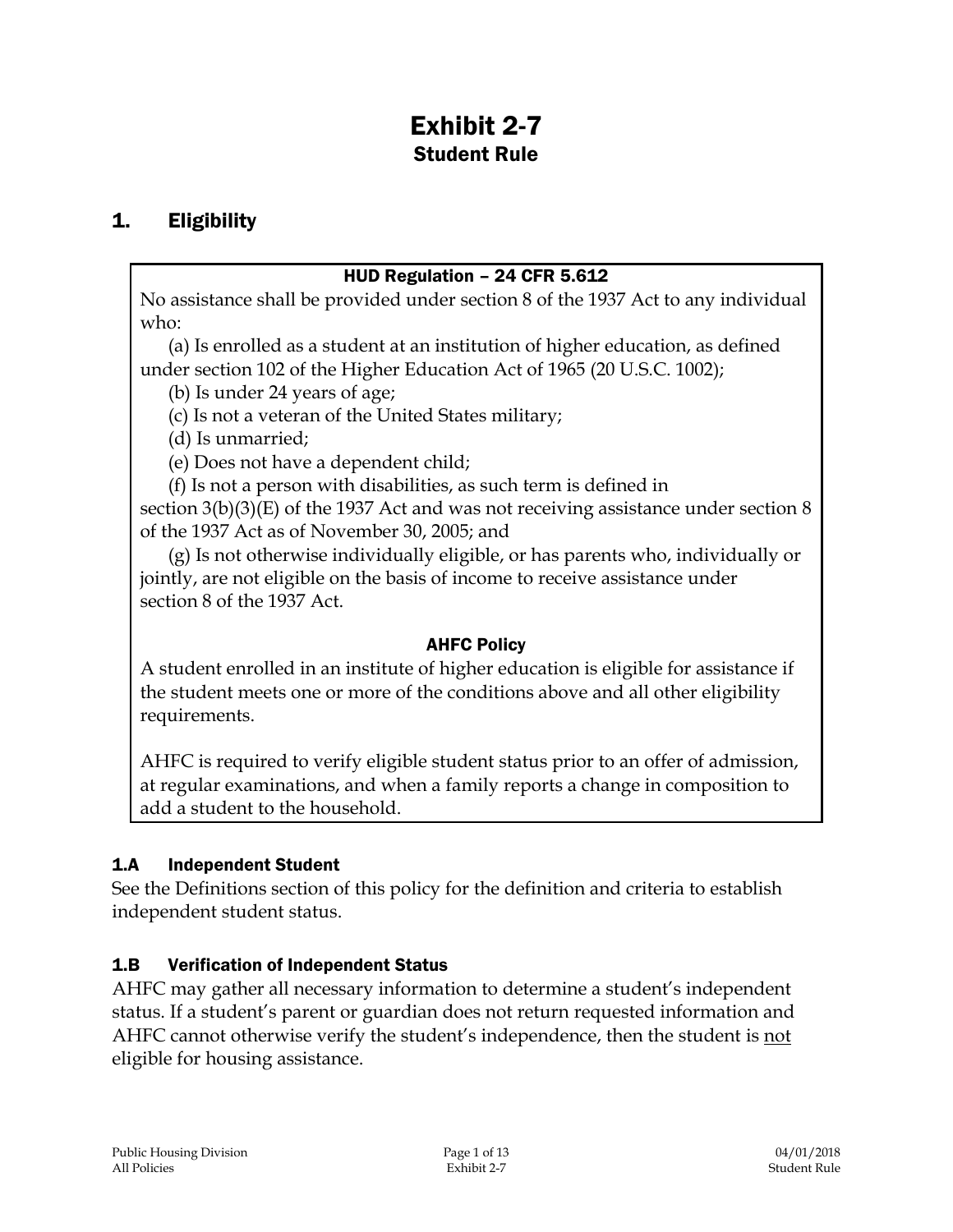# Exhibit 2-7 Student Rule

## 1. Eligibility

#### HUD Regulation – 24 CFR 5.612

No assistance shall be provided under section 8 of the 1937 Act to any individual who:

(a) Is enrolled as a student at an institution of higher education, as defined under section 102 of the Higher Education Act of 1965 (20 U.S.C. 1002);

(b) Is under 24 years of age;

(c) Is not a veteran of the United States military;

(d) Is unmarried;

(e) Does not have a dependent child;

(f) Is not a person with disabilities, as such term is defined in

section 3(b)(3)(E) of the 1937 Act and was not receiving assistance under section 8 of the 1937 Act as of November 30, 2005; and

(g) Is not otherwise individually eligible, or has parents who, individually or jointly, are not eligible on the basis of income to receive assistance under section 8 of the 1937 Act.

#### AHFC Policy

A student enrolled in an institute of higher education is eligible for assistance if the student meets one or more of the conditions above and all other eligibility requirements.

AHFC is required to verify eligible student status prior to an offer of admission, at regular examinations, and when a family reports a change in composition to add a student to the household.

#### 1.A Independent Student

See the Definitions section of this policy for the definition and criteria to establish independent student status.

#### 1.B Verification of Independent Status

AHFC may gather all necessary information to determine a student's independent status. If a student's parent or guardian does not return requested information and AHFC cannot otherwise verify the student's independence, then the student is not eligible for housing assistance.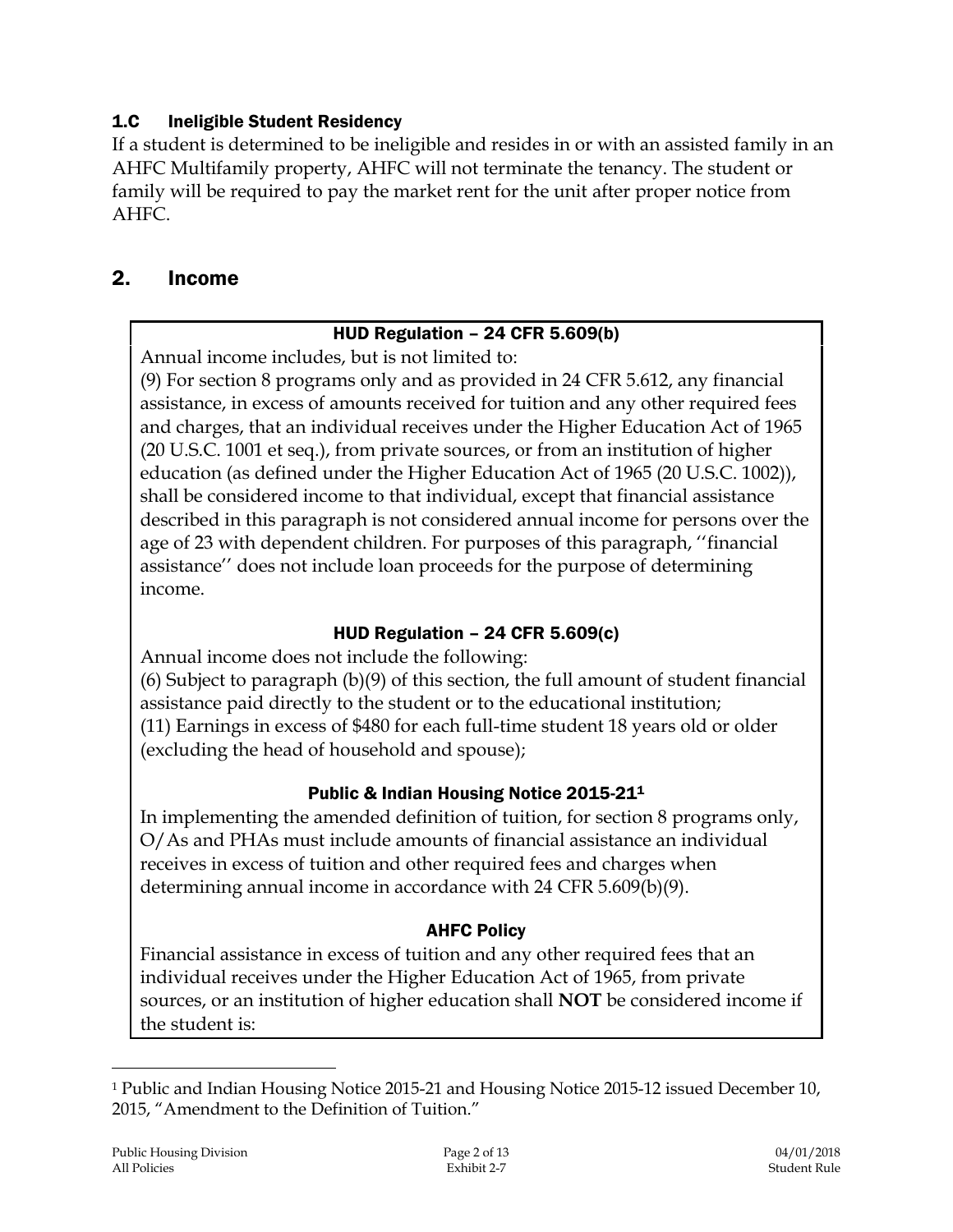#### 1.C Ineligible Student Residency

If a student is determined to be ineligible and resides in or with an assisted family in an AHFC Multifamily property, AHFC will not terminate the tenancy. The student or family will be required to pay the market rent for the unit after proper notice from AHFC.

## 2. Income

#### HUD Regulation – 24 CFR 5.609(b)

Annual income includes, but is not limited to:

(9) For section 8 programs only and as provided in 24 CFR 5.612, any financial assistance, in excess of amounts received for tuition and any other required fees and charges, that an individual receives under the Higher Education Act of 1965 (20 U.S.C. 1001 et seq.), from private sources, or from an institution of higher education (as defined under the Higher Education Act of 1965 (20 U.S.C. 1002)), shall be considered income to that individual, except that financial assistance described in this paragraph is not considered annual income for persons over the age of 23 with dependent children. For purposes of this paragraph, ''financial assistance'' does not include loan proceeds for the purpose of determining income.

## HUD Regulation – 24 CFR 5.609(c)

Annual income does not include the following:

(6) Subject to paragraph (b)(9) of this section, the full amount of student financial assistance paid directly to the student or to the educational institution; (11) Earnings in excess of \$480 for each full-time student 18 years old or older (excluding the head of household and spouse);

## Public & Indian Housing Notice 2015-21<sup>1</sup>

In implementing the amended definition of tuition, for section 8 programs only, O/As and PHAs must include amounts of financial assistance an individual receives in excess of tuition and other required fees and charges when determining annual income in accordance with 24 CFR 5.609(b)(9).

## AHFC Policy

Financial assistance in excess of tuition and any other required fees that an individual receives under the Higher Education Act of 1965, from private sources, or an institution of higher education shall **NOT** be considered income if the student is:

 $\overline{a}$ 

<sup>1</sup> Public and Indian Housing Notice 2015-21 and Housing Notice 2015-12 issued December 10, 2015, "Amendment to the Definition of Tuition."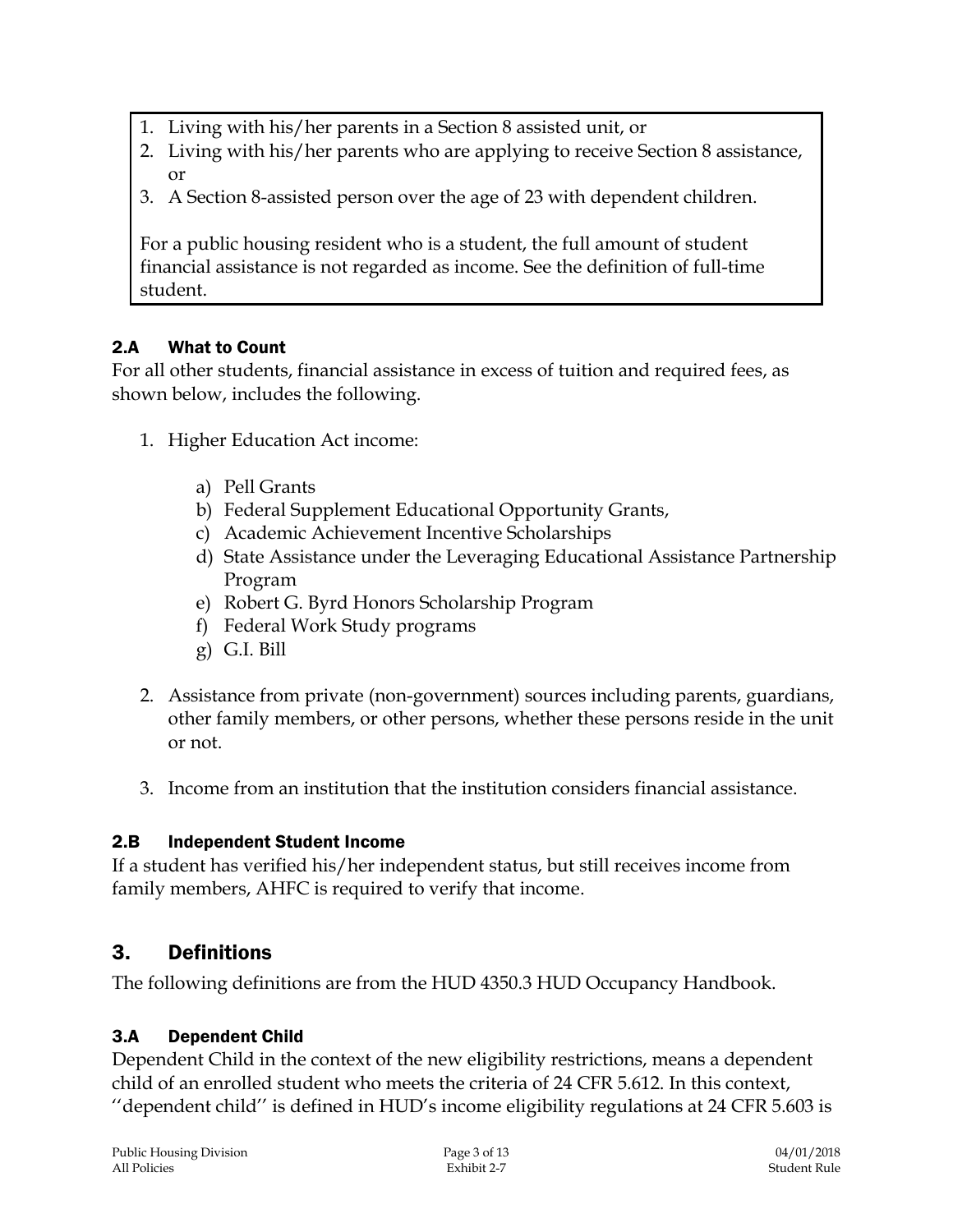- 1. Living with his/her parents in a Section 8 assisted unit, or
- 2. Living with his/her parents who are applying to receive Section 8 assistance, or
- 3. A Section 8-assisted person over the age of 23 with dependent children.

For a public housing resident who is a student, the full amount of student financial assistance is not regarded as income. See the definition of full-time student.

# 2.A What to Count

For all other students, financial assistance in excess of tuition and required fees, as shown below, includes the following.

- 1. Higher Education Act income:
	- a) Pell Grants
	- b) Federal Supplement Educational Opportunity Grants,
	- c) Academic Achievement Incentive Scholarships
	- d) State Assistance under the Leveraging Educational Assistance Partnership Program
	- e) Robert G. Byrd Honors Scholarship Program
	- f) Federal Work Study programs
	- g) G.I. Bill
- 2. Assistance from private (non-government) sources including parents, guardians, other family members, or other persons, whether these persons reside in the unit or not.
- 3. Income from an institution that the institution considers financial assistance.

# 2.B Independent Student Income

If a student has verified his/her independent status, but still receives income from family members, AHFC is required to verify that income.

# 3. Definitions

The following definitions are from the HUD 4350.3 HUD Occupancy Handbook.

# 3.A Dependent Child

Dependent Child in the context of the new eligibility restrictions, means a dependent child of an enrolled student who meets the criteria of 24 CFR 5.612. In this context, ''dependent child'' is defined in HUD's income eligibility regulations at 24 CFR 5.603 is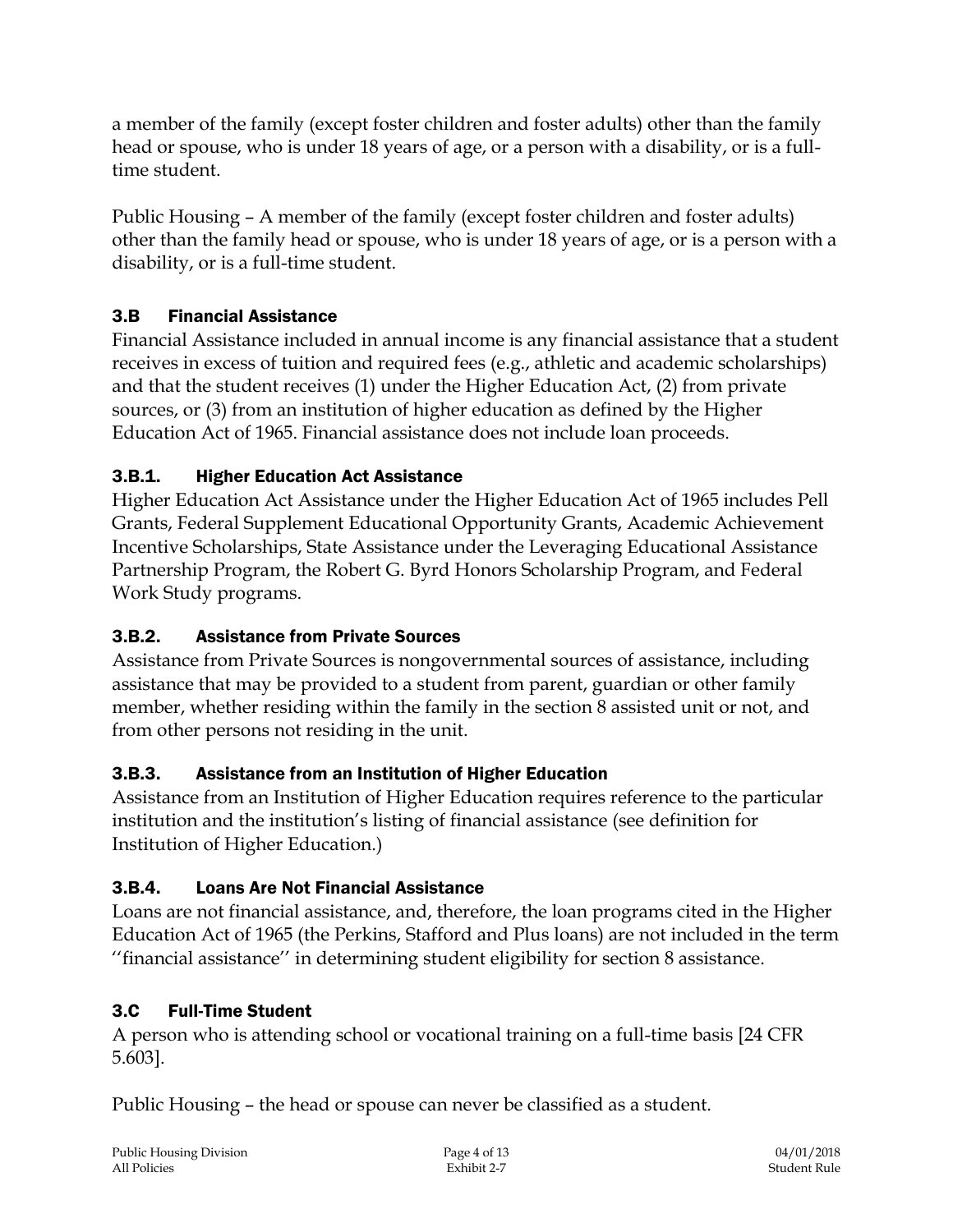a member of the family (except foster children and foster adults) other than the family head or spouse, who is under 18 years of age, or a person with a disability, or is a fulltime student.

Public Housing – A member of the family (except foster children and foster adults) other than the family head or spouse, who is under 18 years of age, or is a person with a disability, or is a full-time student.

# 3.B Financial Assistance

Financial Assistance included in annual income is any financial assistance that a student receives in excess of tuition and required fees (e.g., athletic and academic scholarships) and that the student receives (1) under the Higher Education Act, (2) from private sources, or (3) from an institution of higher education as defined by the Higher Education Act of 1965. Financial assistance does not include loan proceeds.

## 3.B.1. Higher Education Act Assistance

Higher Education Act Assistance under the Higher Education Act of 1965 includes Pell Grants, Federal Supplement Educational Opportunity Grants, Academic Achievement Incentive Scholarships, State Assistance under the Leveraging Educational Assistance Partnership Program, the Robert G. Byrd Honors Scholarship Program, and Federal Work Study programs.

## 3.B.2. Assistance from Private Sources

Assistance from Private Sources is nongovernmental sources of assistance, including assistance that may be provided to a student from parent, guardian or other family member, whether residing within the family in the section 8 assisted unit or not, and from other persons not residing in the unit.

## 3.B.3. Assistance from an Institution of Higher Education

Assistance from an Institution of Higher Education requires reference to the particular institution and the institution's listing of financial assistance (see definition for Institution of Higher Education.)

# 3.B.4. Loans Are Not Financial Assistance

Loans are not financial assistance, and, therefore, the loan programs cited in the Higher Education Act of 1965 (the Perkins, Stafford and Plus loans) are not included in the term ''financial assistance'' in determining student eligibility for section 8 assistance.

## 3.C Full-Time Student

A person who is attending school or vocational training on a full-time basis [24 CFR 5.603].

Public Housing – the head or spouse can never be classified as a student.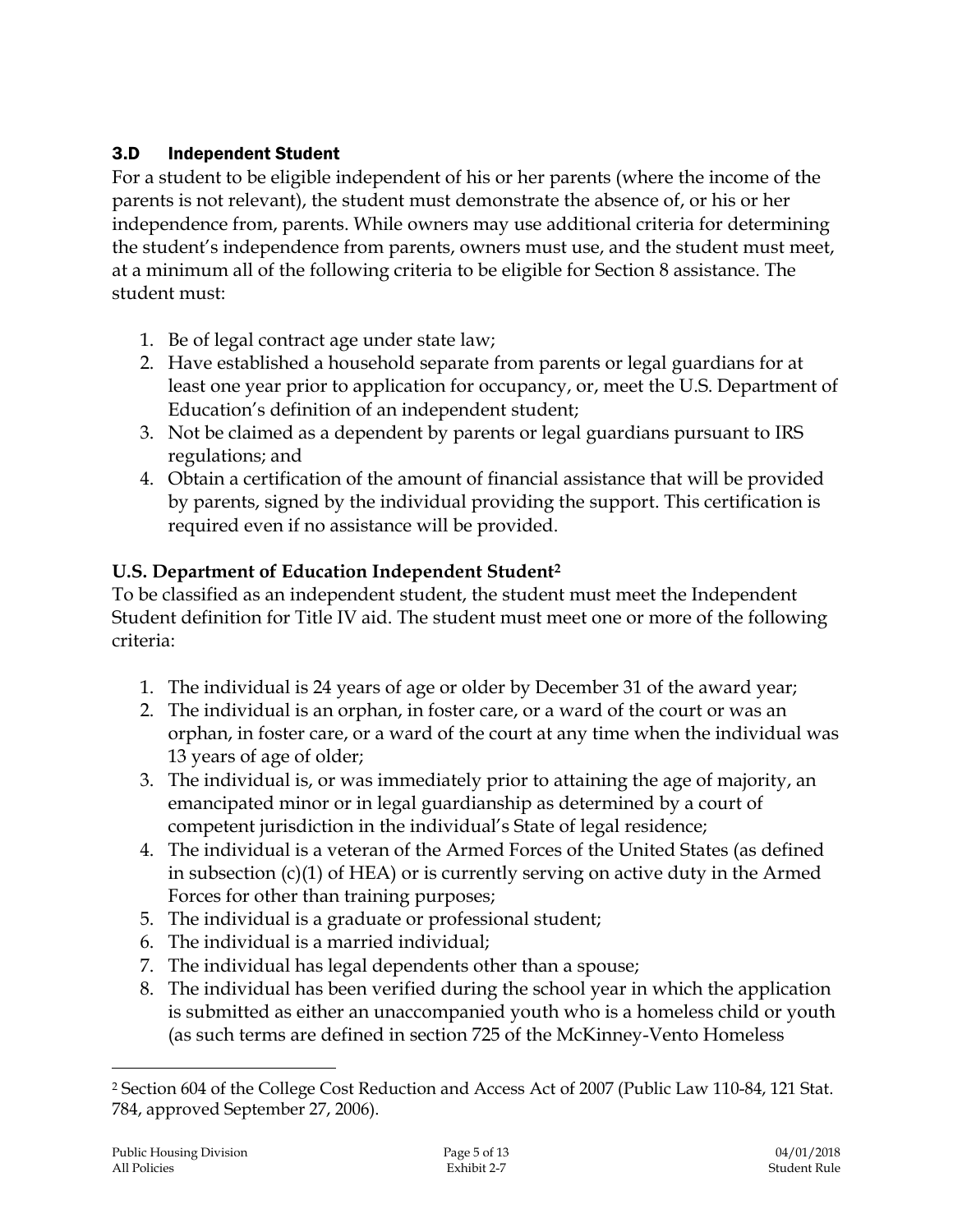## 3.D Independent Student

For a student to be eligible independent of his or her parents (where the income of the parents is not relevant), the student must demonstrate the absence of, or his or her independence from, parents. While owners may use additional criteria for determining the student's independence from parents, owners must use, and the student must meet, at a minimum all of the following criteria to be eligible for Section 8 assistance. The student must:

- 1. Be of legal contract age under state law;
- 2. Have established a household separate from parents or legal guardians for at least one year prior to application for occupancy, or, meet the U.S. Department of Education's definition of an independent student;
- 3. Not be claimed as a dependent by parents or legal guardians pursuant to IRS regulations; and
- 4. Obtain a certification of the amount of financial assistance that will be provided by parents, signed by the individual providing the support. This certification is required even if no assistance will be provided.

# **U.S. Department of Education Independent Student<sup>2</sup>**

To be classified as an independent student, the student must meet the Independent Student definition for Title IV aid. The student must meet one or more of the following criteria:

- 1. The individual is 24 years of age or older by December 31 of the award year;
- 2. The individual is an orphan, in foster care, or a ward of the court or was an orphan, in foster care, or a ward of the court at any time when the individual was 13 years of age of older;
- 3. The individual is, or was immediately prior to attaining the age of majority, an emancipated minor or in legal guardianship as determined by a court of competent jurisdiction in the individual's State of legal residence;
- 4. The individual is a veteran of the Armed Forces of the United States (as defined in subsection (c)(1) of HEA) or is currently serving on active duty in the Armed Forces for other than training purposes;
- 5. The individual is a graduate or professional student;
- 6. The individual is a married individual;
- 7. The individual has legal dependents other than a spouse;
- 8. The individual has been verified during the school year in which the application is submitted as either an unaccompanied youth who is a homeless child or youth (as such terms are defined in section 725 of the McKinney-Vento Homeless

 $\overline{a}$ 

<sup>2</sup> Section 604 of the College Cost Reduction and Access Act of 2007 (Public Law 110-84, 121 Stat. 784, approved September 27, 2006).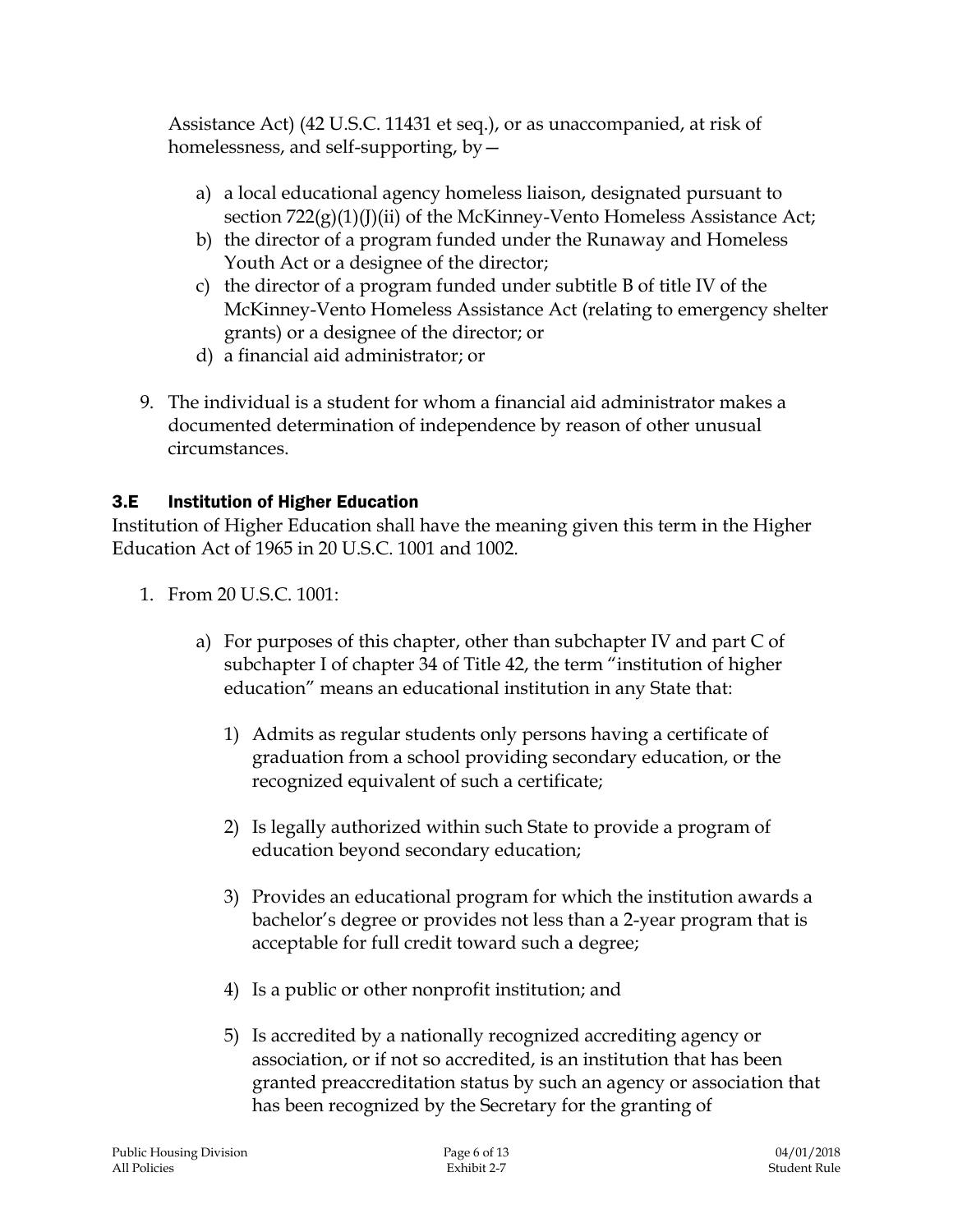Assistance Act) (42 U.S.C. 11431 et seq.), or as unaccompanied, at risk of homelessness, and self-supporting, by—

- a) a local educational agency homeless liaison, designated pursuant to section  $722(g)(1)(J)(ii)$  of the McKinney-Vento Homeless Assistance Act;
- b) the director of a program funded under the Runaway and Homeless Youth Act or a designee of the director;
- c) the director of a program funded under subtitle B of title IV of the McKinney-Vento Homeless Assistance Act (relating to emergency shelter grants) or a designee of the director; or
- d) a financial aid administrator; or
- 9. The individual is a student for whom a financial aid administrator makes a documented determination of independence by reason of other unusual circumstances.

## 3.E Institution of Higher Education

Institution of Higher Education shall have the meaning given this term in the Higher Education Act of 1965 in 20 U.S.C. 1001 and 1002.

- 1. From 20 U.S.C. 1001:
	- a) For purposes of this chapter, other than subchapter IV and part C of subchapter I of chapter 34 of Title 42, the term "institution of higher education" means an educational institution in any State that:
		- 1) Admits as regular students only persons having a certificate of graduation from a school providing secondary education, or the recognized equivalent of such a certificate;
		- 2) Is legally authorized within such State to provide a program of education beyond secondary education;
		- 3) Provides an educational program for which the institution awards a bachelor's degree or provides not less than a 2-year program that is acceptable for full credit toward such a degree;
		- 4) Is a public or other nonprofit institution; and
		- 5) Is accredited by a nationally recognized accrediting agency or association, or if not so accredited, is an institution that has been granted preaccreditation status by such an agency or association that has been recognized by the Secretary for the granting of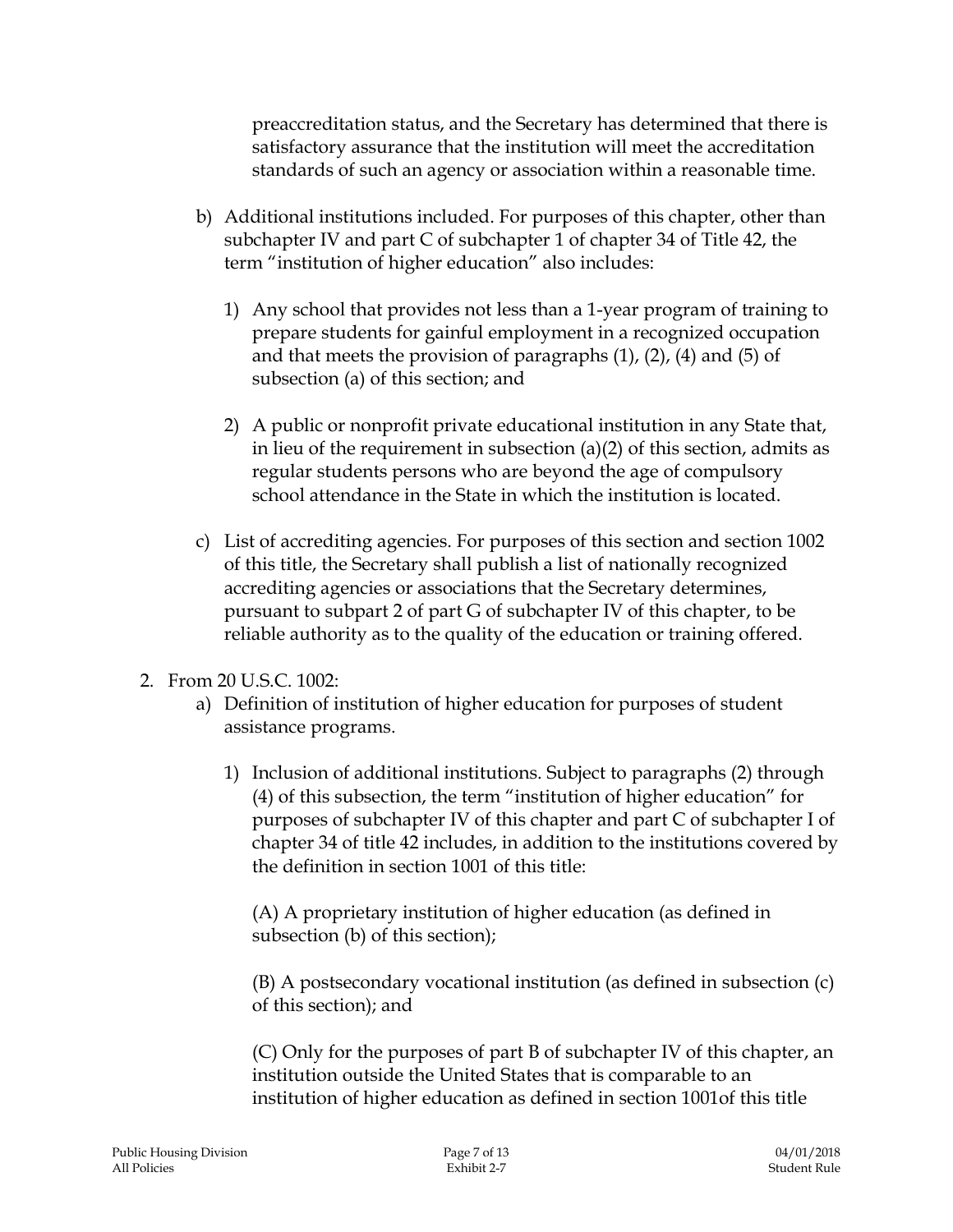preaccreditation status, and the Secretary has determined that there is satisfactory assurance that the institution will meet the accreditation standards of such an agency or association within a reasonable time.

- b) Additional institutions included. For purposes of this chapter, other than subchapter IV and part C of subchapter 1 of chapter 34 of Title 42, the term "institution of higher education" also includes:
	- 1) Any school that provides not less than a 1-year program of training to prepare students for gainful employment in a recognized occupation and that meets the provision of paragraphs (1), (2), (4) and (5) of subsection (a) of this section; and
	- 2) A public or nonprofit private educational institution in any State that, in lieu of the requirement in subsection (a)(2) of this section, admits as regular students persons who are beyond the age of compulsory school attendance in the State in which the institution is located.
- c) List of accrediting agencies. For purposes of this section and section 1002 of this title, the Secretary shall publish a list of nationally recognized accrediting agencies or associations that the Secretary determines, pursuant to subpart 2 of part G of subchapter IV of this chapter, to be reliable authority as to the quality of the education or training offered.
- 2. From 20 U.S.C. 1002:
	- a) Definition of institution of higher education for purposes of student assistance programs.
		- 1) Inclusion of additional institutions. Subject to paragraphs (2) through (4) of this subsection, the term "institution of higher education" for purposes of subchapter IV of this chapter and part C of subchapter I of chapter 34 of title 42 includes, in addition to the institutions covered by the definition in section 1001 of this title:

(A) A proprietary institution of higher education (as defined in subsection (b) of this section);

(B) A postsecondary vocational institution (as defined in subsection (c) of this section); and

(C) Only for the purposes of part B of subchapter IV of this chapter, an institution outside the United States that is comparable to an institution of higher education as defined in section 1001of this title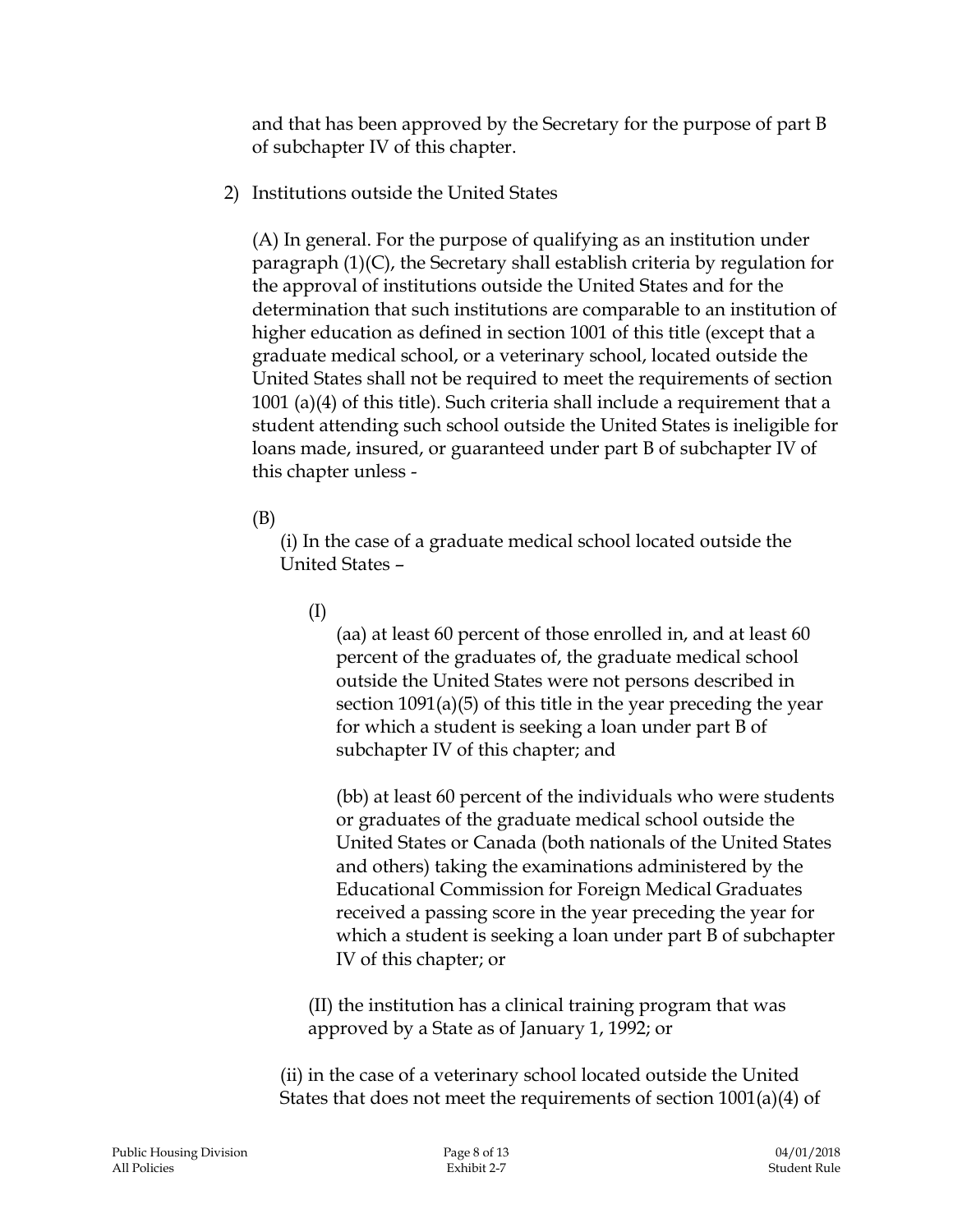and that has been approved by the Secretary for the purpose of part B of subchapter IV of this chapter.

2) Institutions outside the United States

(A) In general. For the purpose of qualifying as an institution under paragraph (1)(C), the Secretary shall establish criteria by regulation for the approval of institutions outside the United States and for the determination that such institutions are comparable to an institution of higher education as defined in section 1001 of this title (except that a graduate medical school, or a veterinary school, located outside the United States shall not be required to meet the requirements of section 1001 (a)(4) of this title). Such criteria shall include a requirement that a student attending such school outside the United States is ineligible for loans made, insured, or guaranteed under part B of subchapter IV of this chapter unless -

(B)

(i) In the case of a graduate medical school located outside the United States –

(I)

(aa) at least 60 percent of those enrolled in, and at least 60 percent of the graduates of, the graduate medical school outside the United States were not persons described in section 1091(a)(5) of this title in the year preceding the year for which a student is seeking a loan under part B of subchapter IV of this chapter; and

(bb) at least 60 percent of the individuals who were students or graduates of the graduate medical school outside the United States or Canada (both nationals of the United States and others) taking the examinations administered by the Educational Commission for Foreign Medical Graduates received a passing score in the year preceding the year for which a student is seeking a loan under part B of subchapter IV of this chapter; or

(II) the institution has a clinical training program that was approved by a State as of January 1, 1992; or

(ii) in the case of a veterinary school located outside the United States that does not meet the requirements of section 1001(a)(4) of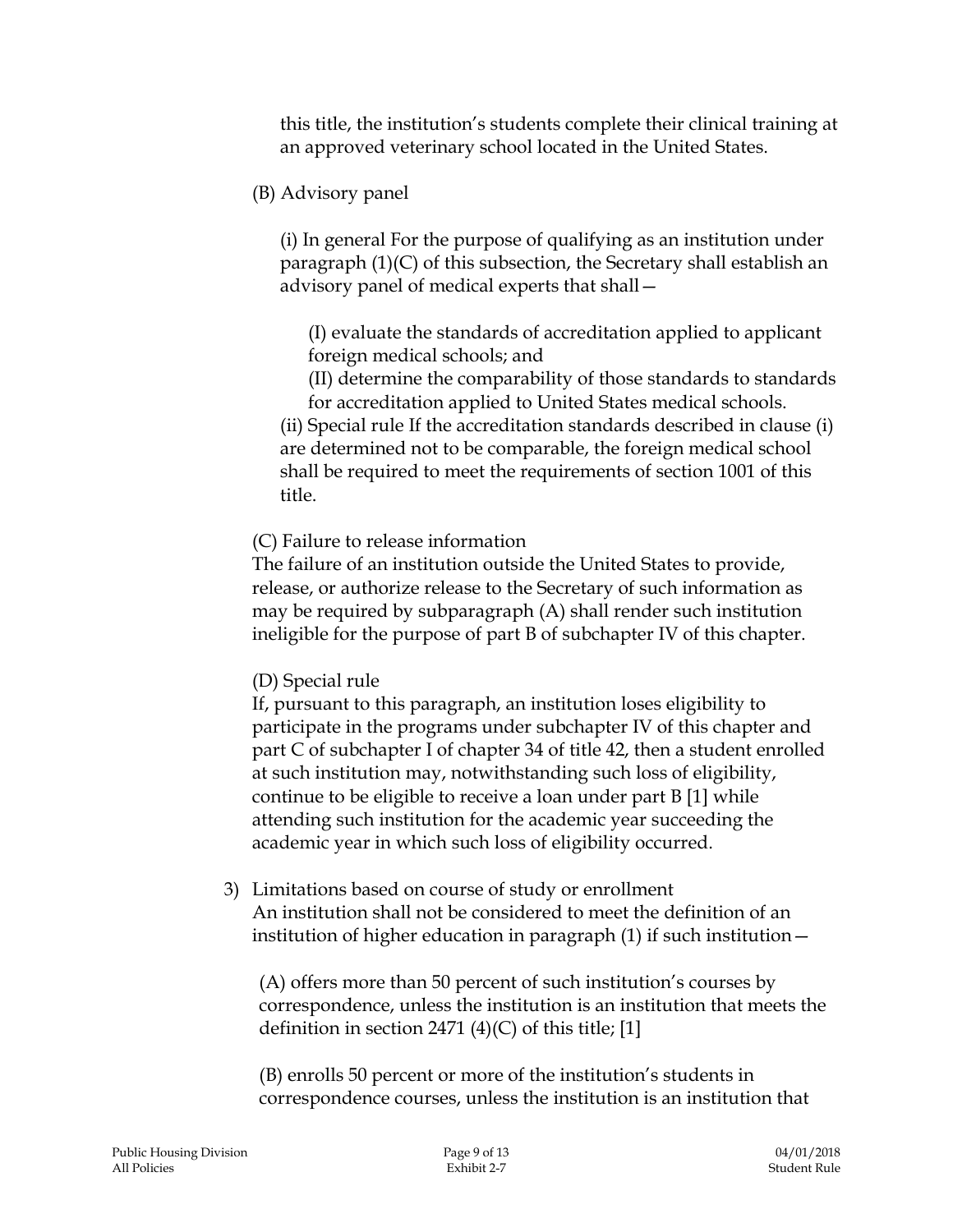this title, the institution's students complete their clinical training at an approved veterinary school located in the United States.

(B) Advisory panel

(i) In general For the purpose of qualifying as an institution under paragraph (1)(C) of this subsection, the Secretary shall establish an advisory panel of medical experts that shall—

(I) evaluate the standards of accreditation applied to applicant foreign medical schools; and

(II) determine the comparability of those standards to standards for accreditation applied to United States medical schools.

(ii) Special rule If the accreditation standards described in clause (i) are determined not to be comparable, the foreign medical school shall be required to meet the requirements of section 1001 of this title.

(C) Failure to release information

The failure of an institution outside the United States to provide, release, or authorize release to the Secretary of such information as may be required by subparagraph (A) shall render such institution ineligible for the purpose of part B of subchapter IV of this chapter.

#### (D) Special rule

If, pursuant to this paragraph, an institution loses eligibility to participate in the programs under subchapter IV of this chapter and part C of subchapter I of chapter 34 of title 42, then a student enrolled at such institution may, notwithstanding such loss of eligibility, continue to be eligible to receive a loan under part B [1] while attending such institution for the academic year succeeding the academic year in which such loss of eligibility occurred.

3) Limitations based on course of study or enrollment An institution shall not be considered to meet the definition of an institution of higher education in paragraph (1) if such institution—

(A) offers more than 50 percent of such institution's courses by correspondence, unless the institution is an institution that meets the definition in section 2471 (4)(C) of this title; [1]

(B) enrolls 50 percent or more of the institution's students in correspondence courses, unless the institution is an institution that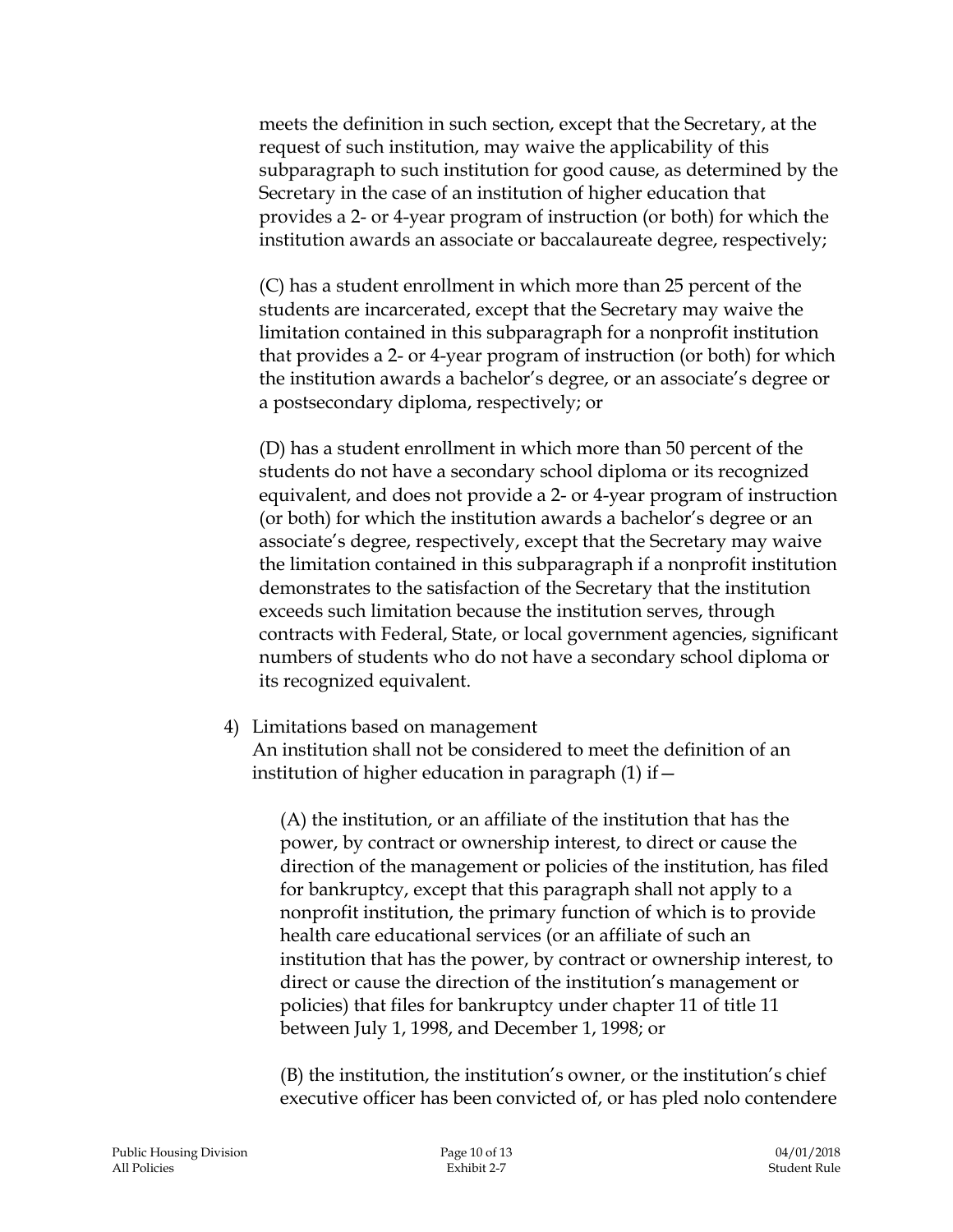meets the definition in such section, except that the Secretary, at the request of such institution, may waive the applicability of this subparagraph to such institution for good cause, as determined by the Secretary in the case of an institution of higher education that provides a 2- or 4-year program of instruction (or both) for which the institution awards an associate or baccalaureate degree, respectively;

(C) has a student enrollment in which more than 25 percent of the students are incarcerated, except that the Secretary may waive the limitation contained in this subparagraph for a nonprofit institution that provides a 2- or 4-year program of instruction (or both) for which the institution awards a bachelor's degree, or an associate's degree or a postsecondary diploma, respectively; or

(D) has a student enrollment in which more than 50 percent of the students do not have a secondary school diploma or its recognized equivalent, and does not provide a 2- or 4-year program of instruction (or both) for which the institution awards a bachelor's degree or an associate's degree, respectively, except that the Secretary may waive the limitation contained in this subparagraph if a nonprofit institution demonstrates to the satisfaction of the Secretary that the institution exceeds such limitation because the institution serves, through contracts with Federal, State, or local government agencies, significant numbers of students who do not have a secondary school diploma or its recognized equivalent.

#### 4) Limitations based on management

An institution shall not be considered to meet the definition of an institution of higher education in paragraph  $(1)$  if  $-$ 

(A) the institution, or an affiliate of the institution that has the power, by contract or ownership interest, to direct or cause the direction of the management or policies of the institution, has filed for bankruptcy, except that this paragraph shall not apply to a nonprofit institution, the primary function of which is to provide health care educational services (or an affiliate of such an institution that has the power, by contract or ownership interest, to direct or cause the direction of the institution's management or policies) that files for bankruptcy under chapter 11 of title 11 between July 1, 1998, and December 1, 1998; or

(B) the institution, the institution's owner, or the institution's chief executive officer has been convicted of, or has pled nolo contendere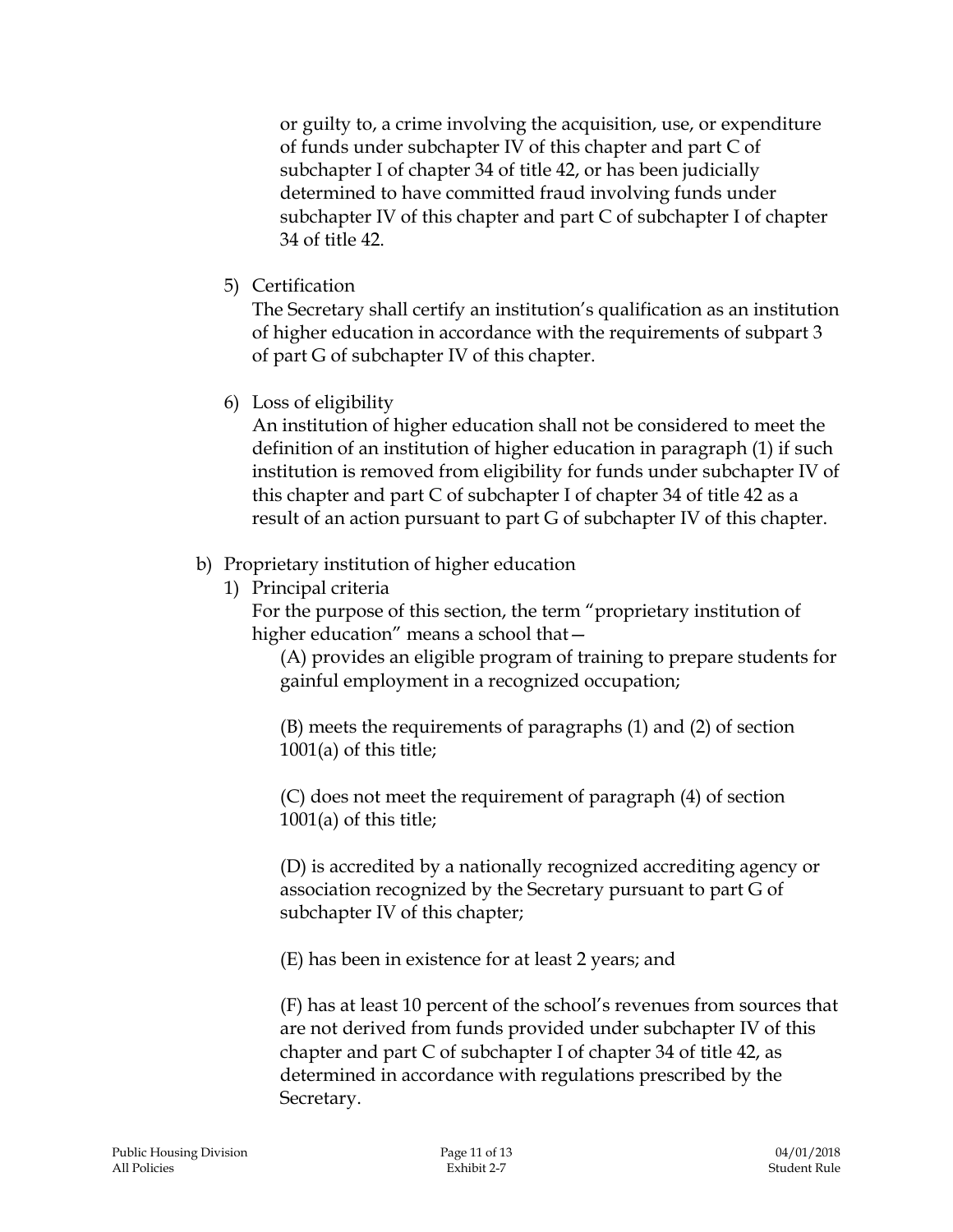or guilty to, a crime involving the acquisition, use, or expenditure of funds under subchapter IV of this chapter and part C of subchapter I of chapter 34 of title 42, or has been judicially determined to have committed fraud involving funds under subchapter IV of this chapter and part C of subchapter I of chapter 34 of title 42.

5) Certification

The Secretary shall certify an institution's qualification as an institution of higher education in accordance with the requirements of subpart 3 of part G of subchapter IV of this chapter.

6) Loss of eligibility

An institution of higher education shall not be considered to meet the definition of an institution of higher education in paragraph (1) if such institution is removed from eligibility for funds under subchapter IV of this chapter and part C of subchapter I of chapter 34 of title 42 as a result of an action pursuant to part G of subchapter IV of this chapter.

## b) Proprietary institution of higher education

1) Principal criteria

For the purpose of this section, the term "proprietary institution of higher education" means a school that—

(A) provides an eligible program of training to prepare students for gainful employment in a recognized occupation;

(B) meets the requirements of paragraphs (1) and (2) of section 1001(a) of this title;

(C) does not meet the requirement of paragraph (4) of section 1001(a) of this title;

(D) is accredited by a nationally recognized accrediting agency or association recognized by the Secretary pursuant to part G of subchapter IV of this chapter;

(E) has been in existence for at least 2 years; and

(F) has at least 10 percent of the school's revenues from sources that are not derived from funds provided under subchapter IV of this chapter and part C of subchapter I of chapter 34 of title 42, as determined in accordance with regulations prescribed by the Secretary.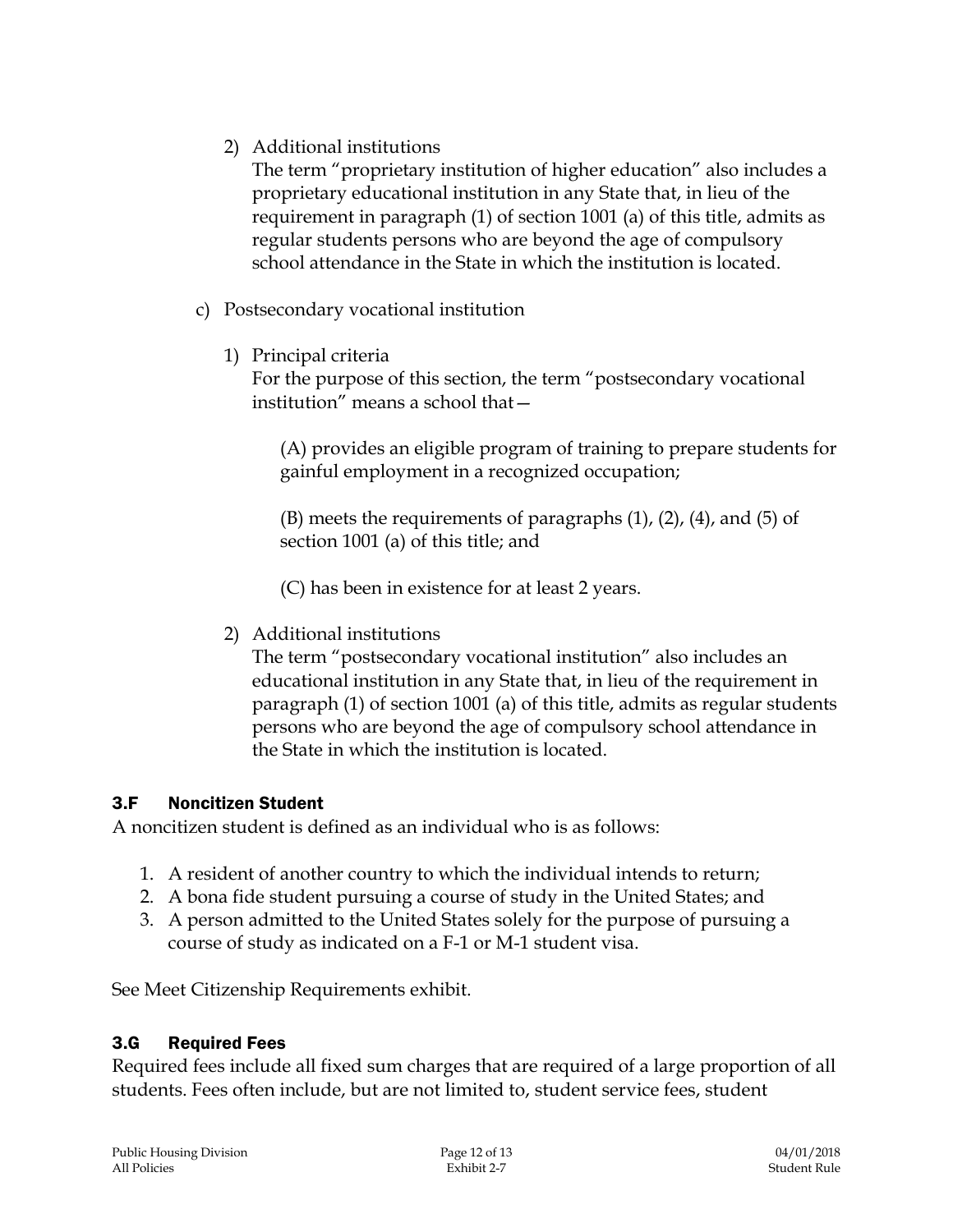2) Additional institutions

The term "proprietary institution of higher education" also includes a proprietary educational institution in any State that, in lieu of the requirement in paragraph (1) of section 1001 (a) of this title, admits as regular students persons who are beyond the age of compulsory school attendance in the State in which the institution is located.

- c) Postsecondary vocational institution
	- 1) Principal criteria

For the purpose of this section, the term "postsecondary vocational institution" means a school that—

(A) provides an eligible program of training to prepare students for gainful employment in a recognized occupation;

 $(B)$  meets the requirements of paragraphs  $(1)$ ,  $(2)$ ,  $(4)$ , and  $(5)$  of section 1001 (a) of this title; and

(C) has been in existence for at least 2 years.

2) Additional institutions

The term "postsecondary vocational institution" also includes an educational institution in any State that, in lieu of the requirement in paragraph (1) of section 1001 (a) of this title, admits as regular students persons who are beyond the age of compulsory school attendance in the State in which the institution is located.

#### 3.F Noncitizen Student

A noncitizen student is defined as an individual who is as follows:

- 1. A resident of another country to which the individual intends to return;
- 2. A bona fide student pursuing a course of study in the United States; and
- 3. A person admitted to the United States solely for the purpose of pursuing a course of study as indicated on a F-1 or M-1 student visa.

See Meet Citizenship Requirements exhibit.

#### 3.G Required Fees

Required fees include all fixed sum charges that are required of a large proportion of all students. Fees often include, but are not limited to, student service fees, student